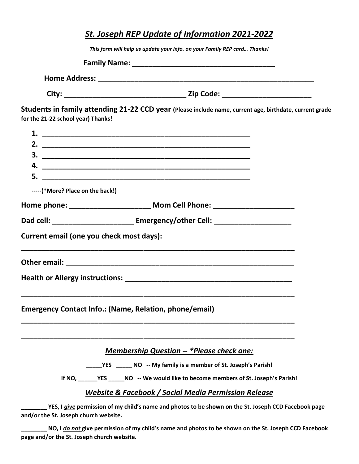| St. Joseph REP Update of Information 2021-2022 |                                                                                                                      |  |  |  |
|------------------------------------------------|----------------------------------------------------------------------------------------------------------------------|--|--|--|
|                                                | This form will help us update your info. on your Family REP card Thanks!                                             |  |  |  |
|                                                |                                                                                                                      |  |  |  |
|                                                |                                                                                                                      |  |  |  |
|                                                |                                                                                                                      |  |  |  |
| for the 21-22 school year) Thanks!             | Students in family attending 21-22 CCD year (Please include name, current age, birthdate, current grade              |  |  |  |
|                                                |                                                                                                                      |  |  |  |
|                                                |                                                                                                                      |  |  |  |
|                                                |                                                                                                                      |  |  |  |
|                                                |                                                                                                                      |  |  |  |
|                                                |                                                                                                                      |  |  |  |
|                                                | -----(*More? Place on the back!)                                                                                     |  |  |  |
|                                                | Home phone: _________________________________ Mom Cell Phone: __________________                                     |  |  |  |
|                                                | Dad cell: _________________________ Emergency/other Cell: ______________________                                     |  |  |  |
|                                                | Current email (one you check most days):                                                                             |  |  |  |
|                                                |                                                                                                                      |  |  |  |
|                                                |                                                                                                                      |  |  |  |
|                                                |                                                                                                                      |  |  |  |
|                                                | <b>Emergency Contact Info.: (Name, Relation, phone/email)</b>                                                        |  |  |  |
|                                                | <b>Membership Question -- *Please check one:</b>                                                                     |  |  |  |
|                                                | _______________________ NO -- My family is a member of St. Joseph's Parish!                                          |  |  |  |
|                                                |                                                                                                                      |  |  |  |
|                                                | <b>Website &amp; Facebook / Social Media Permission Release</b>                                                      |  |  |  |
| and/or the St. Joseph church website.          | YES, I give permission of my child's name and photos to be shown on the St. Joseph CCD Facebook page                 |  |  |  |
|                                                | . The contract of the contract of the contract of the contract of the contract of the contract $\sigma$ and $\sigma$ |  |  |  |

\_\_ NO, I <u>do not g</u>ive permission of my child's name and photos to be shown on the St. Joseph CCD Facebook page and/or the St. Joseph church website.